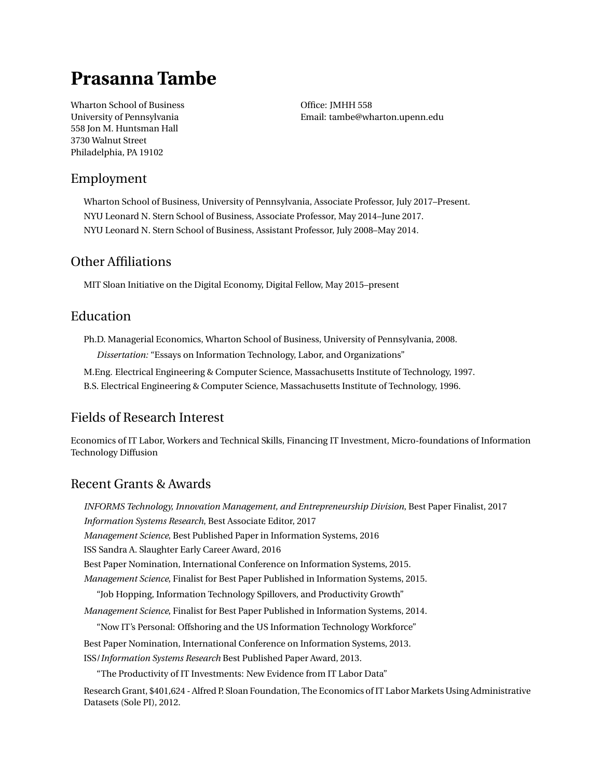# **Prasanna Tambe**

Wharton School of Business University of Pennsylvania 558 Jon M. Huntsman Hall 3730 Walnut Street Philadelphia, PA 19102

Office: JMHH 558 Email: [tambe@wharton.upenn.edu](mailto:tambe@wharton.upenn.edu)

# Employment

Wharton School of Business, University of Pennsylvania, Associate Professor, July 2017–Present. NYU Leonard N. Stern School of Business, Associate Professor, May 2014–June 2017. NYU Leonard N. Stern School of Business, Assistant Professor, July 2008–May 2014.

# Other Affiliations

MIT Sloan Initiative on the Digital Economy, Digital Fellow, May 2015–present

# Education

Ph.D. Managerial Economics, Wharton School of Business, University of Pennsylvania, 2008. *Dissertation:* "Essays on Information Technology, Labor, and Organizations"

M.Eng. Electrical Engineering & Computer Science, Massachusetts Institute of Technology, 1997.

B.S. Electrical Engineering & Computer Science, Massachusetts Institute of Technology, 1996.

# Fields of Research Interest

Economics of IT Labor, Workers and Technical Skills, Financing IT Investment, Micro-foundations of Information Technology Diffusion

# Recent Grants & Awards

*INFORMS Technology, Innovation Management, and Entrepreneurship Division*, Best Paper Finalist, 2017 *Information Systems Research*, Best Associate Editor, 2017 *Management Science*, Best Published Paper in Information Systems, 2016 ISS Sandra A. Slaughter Early Career Award, 2016 Best Paper Nomination, International Conference on Information Systems, 2015. *Management Science*, Finalist for Best Paper Published in Information Systems, 2015. "Job Hopping, Information Technology Spillovers, and Productivity Growth" *Management Science*, Finalist for Best Paper Published in Information Systems, 2014. "Now IT's Personal: Offshoring and the US Information Technology Workforce" Best Paper Nomination, International Conference on Information Systems, 2013. ISS/*Information Systems Research* Best Published Paper Award, 2013. "The Productivity of IT Investments: New Evidence from IT Labor Data" Research Grant, \$401,624 - Alfred P. Sloan Foundation, The Economics of IT Labor Markets Using Administrative Datasets (Sole PI), 2012.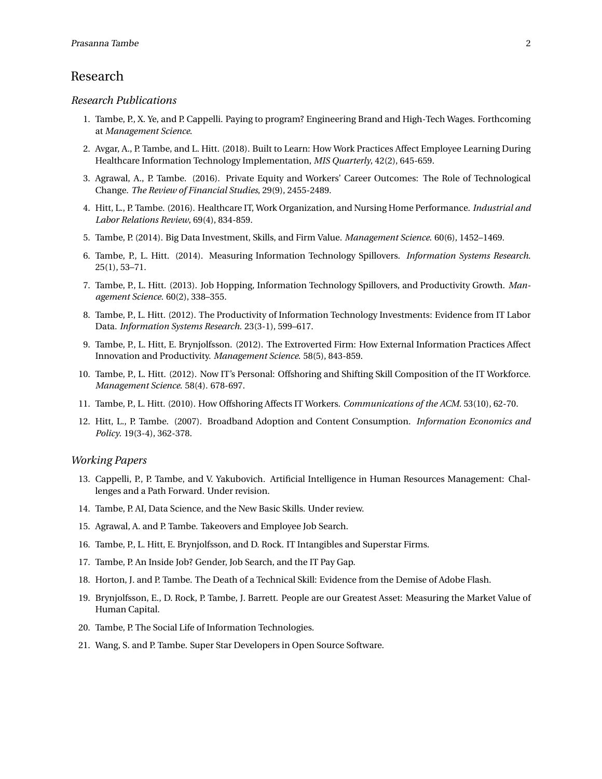#### Research

#### *Research Publications*

- 1. Tambe, P., X. Ye, and P. Cappelli. Paying to program? Engineering Brand and High-Tech Wages. Forthcoming at *Management Science*.
- 2. Avgar, A., P. Tambe, and L. Hitt. (2018). Built to Learn: How Work Practices Affect Employee Learning During Healthcare Information Technology Implementation, *MIS Quarterly*, 42(2), 645-659.
- 3. Agrawal, A., P. Tambe. (2016). Private Equity and Workers' Career Outcomes: The Role of Technological Change. *The Review of Financial Studies*, 29(9), 2455-2489.
- 4. Hitt, L., P. Tambe. (2016). Healthcare IT, Work Organization, and Nursing Home Performance. *Industrial and Labor Relations Review*, 69(4), 834-859.
- 5. Tambe, P. (2014). Big Data Investment, Skills, and Firm Value. *Management Science*. 60(6), 1452–1469.
- 6. Tambe, P., L. Hitt. (2014). Measuring Information Technology Spillovers. *Information Systems Research*. 25(1), 53–71.
- 7. Tambe, P., L. Hitt. (2013). Job Hopping, Information Technology Spillovers, and Productivity Growth. *Management Science*. 60(2), 338–355.
- 8. Tambe, P., L. Hitt. (2012). The Productivity of Information Technology Investments: Evidence from IT Labor Data. *Information Systems Research*. 23(3-1), 599–617.
- 9. Tambe, P., L. Hitt, E. Brynjolfsson. (2012). The Extroverted Firm: How External Information Practices Affect Innovation and Productivity. *Management Science*. 58(5), 843-859.
- 10. Tambe, P., L. Hitt. (2012). Now IT's Personal: Offshoring and Shifting Skill Composition of the IT Workforce. *Management Science*. 58(4). 678-697.
- 11. Tambe, P., L. Hitt. (2010). How Offshoring Affects IT Workers. *Communications of the ACM*. 53(10), 62-70.
- 12. Hitt, L., P. Tambe. (2007). Broadband Adoption and Content Consumption. *Information Economics and Policy*. 19(3-4), 362-378.

#### *Working Papers*

- 13. Cappelli, P., P. Tambe, and V. Yakubovich. Artificial Intelligence in Human Resources Management: Challenges and a Path Forward. Under revision.
- 14. Tambe, P. AI, Data Science, and the New Basic Skills. Under review.
- 15. Agrawal, A. and P. Tambe. Takeovers and Employee Job Search.
- 16. Tambe, P., L. Hitt, E. Brynjolfsson, and D. Rock. IT Intangibles and Superstar Firms.
- 17. Tambe, P. An Inside Job? Gender, Job Search, and the IT Pay Gap.
- 18. Horton, J. and P. Tambe. The Death of a Technical Skill: Evidence from the Demise of Adobe Flash.
- 19. Brynjolfsson, E., D. Rock, P. Tambe, J. Barrett. People are our Greatest Asset: Measuring the Market Value of Human Capital.
- 20. Tambe, P. The Social Life of Information Technologies.
- 21. Wang, S. and P. Tambe. Super Star Developers in Open Source Software.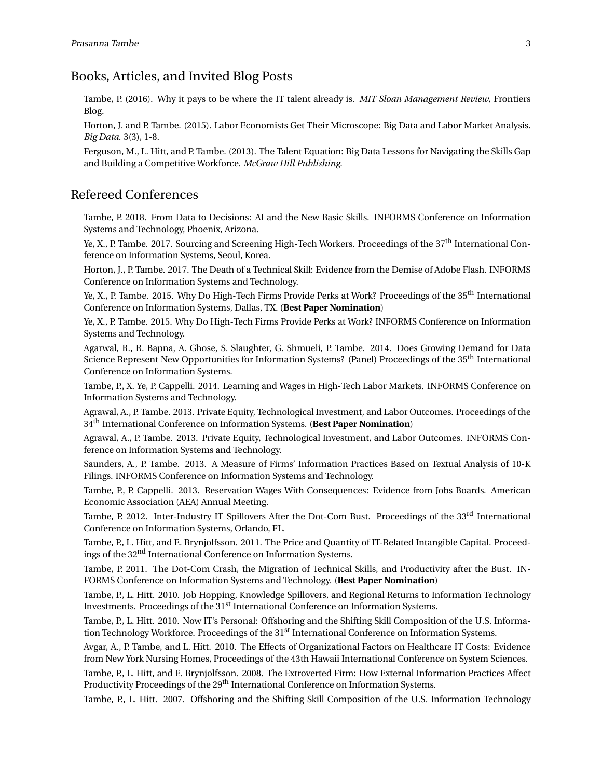#### Books, Articles, and Invited Blog Posts

Tambe, P. (2016). Why it pays to be where the IT talent already is. *MIT Sloan Management Review*, Frontiers Blog.

Horton, J. and P. Tambe. (2015). Labor Economists Get Their Microscope: Big Data and Labor Market Analysis. *Big Data*. 3(3), 1-8.

Ferguson, M., L. Hitt, and P. Tambe. (2013). The Talent Equation: Big Data Lessons for Navigating the Skills Gap and Building a Competitive Workforce. *McGraw Hill Publishing*.

## Refereed Conferences

Tambe, P. 2018. From Data to Decisions: AI and the New Basic Skills. INFORMS Conference on Information Systems and Technology, Phoenix, Arizona.

Ye, X., P. Tambe. 2017. Sourcing and Screening High-Tech Workers. Proceedings of the 37<sup>th</sup> International Conference on Information Systems, Seoul, Korea.

Horton, J., P. Tambe. 2017. The Death of a Technical Skill: Evidence from the Demise of Adobe Flash. INFORMS Conference on Information Systems and Technology.

Ye, X., P. Tambe. 2015. Why Do High-Tech Firms Provide Perks at Work? Proceedings of the 35<sup>th</sup> International Conference on Information Systems, Dallas, TX. (**Best Paper Nomination**)

Ye, X., P. Tambe. 2015. Why Do High-Tech Firms Provide Perks at Work? INFORMS Conference on Information Systems and Technology.

Agarwal, R., R. Bapna, A. Ghose, S. Slaughter, G. Shmueli, P. Tambe. 2014. Does Growing Demand for Data Science Represent New Opportunities for Information Systems? (Panel) Proceedings of the 35<sup>th</sup> International Conference on Information Systems.

Tambe, P., X. Ye, P. Cappelli. 2014. Learning and Wages in High-Tech Labor Markets. INFORMS Conference on Information Systems and Technology.

Agrawal, A., P. Tambe. 2013. Private Equity, Technological Investment, and Labor Outcomes. Proceedings of the 34th International Conference on Information Systems. (**Best Paper Nomination**)

Agrawal, A., P. Tambe. 2013. Private Equity, Technological Investment, and Labor Outcomes. INFORMS Conference on Information Systems and Technology.

Saunders, A., P. Tambe. 2013. A Measure of Firms' Information Practices Based on Textual Analysis of 10-K Filings. INFORMS Conference on Information Systems and Technology.

Tambe, P., P. Cappelli. 2013. Reservation Wages With Consequences: Evidence from Jobs Boards. American Economic Association (AEA) Annual Meeting.

Tambe, P. 2012. Inter-Industry IT Spillovers After the Dot-Com Bust. Proceedings of the 33<sup>rd</sup> International Conference on Information Systems, Orlando, FL.

Tambe, P., L. Hitt, and E. Brynjolfsson. 2011. The Price and Quantity of IT-Related Intangible Capital. Proceedings of the 32nd International Conference on Information Systems.

Tambe, P. 2011. The Dot-Com Crash, the Migration of Technical Skills, and Productivity after the Bust. IN-FORMS Conference on Information Systems and Technology. (**Best Paper Nomination**)

Tambe, P., L. Hitt. 2010. Job Hopping, Knowledge Spillovers, and Regional Returns to Information Technology Investments. Proceedings of the 31<sup>st</sup> International Conference on Information Systems.

Tambe, P., L. Hitt. 2010. Now IT's Personal: Offshoring and the Shifting Skill Composition of the U.S. Information Technology Workforce. Proceedings of the 31<sup>st</sup> International Conference on Information Systems.

Avgar, A., P. Tambe, and L. Hitt. 2010. The Effects of Organizational Factors on Healthcare IT Costs: Evidence from New York Nursing Homes, Proceedings of the 43th Hawaii International Conference on System Sciences.

Tambe, P., L. Hitt, and E. Brynjolfsson. 2008. The Extroverted Firm: How External Information Practices Affect Productivity Proceedings of the 29<sup>th</sup> International Conference on Information Systems.

Tambe, P., L. Hitt. 2007. Offshoring and the Shifting Skill Composition of the U.S. Information Technology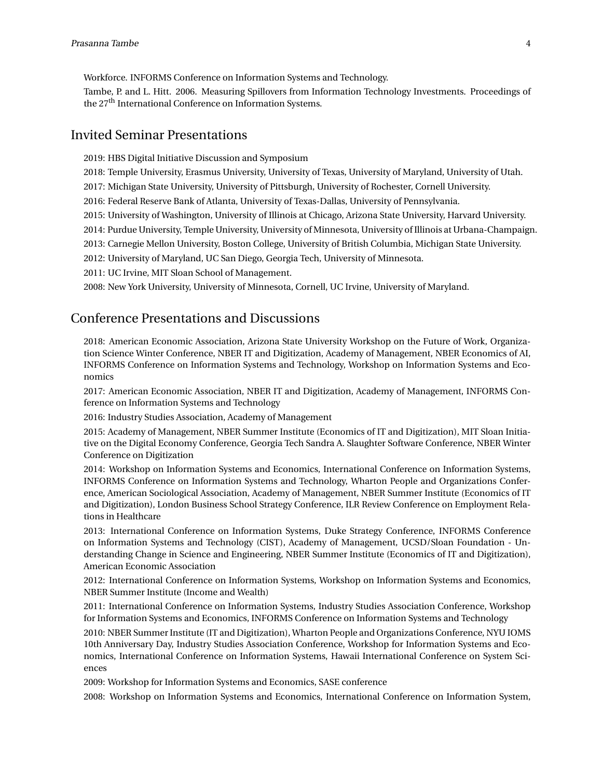Workforce. INFORMS Conference on Information Systems and Technology.

Tambe, P. and L. Hitt. 2006. Measuring Spillovers from Information Technology Investments. Proceedings of the 27<sup>th</sup> International Conference on Information Systems.

#### Invited Seminar Presentations

2019: HBS Digital Initiative Discussion and Symposium

2018: Temple University, Erasmus University, University of Texas, University of Maryland, University of Utah.

2017: Michigan State University, University of Pittsburgh, University of Rochester, Cornell University.

2016: Federal Reserve Bank of Atlanta, University of Texas-Dallas, University of Pennsylvania.

2015: University of Washington, University of Illinois at Chicago, Arizona State University, Harvard University.

2014: Purdue University, Temple University, University of Minnesota, University of Illinois at Urbana-Champaign.

2013: Carnegie Mellon University, Boston College, University of British Columbia, Michigan State University.

2012: University of Maryland, UC San Diego, Georgia Tech, University of Minnesota.

2011: UC Irvine, MIT Sloan School of Management.

2008: New York University, University of Minnesota, Cornell, UC Irvine, University of Maryland.

#### Conference Presentations and Discussions

2018: American Economic Association, Arizona State University Workshop on the Future of Work, Organization Science Winter Conference, NBER IT and Digitization, Academy of Management, NBER Economics of AI, INFORMS Conference on Information Systems and Technology, Workshop on Information Systems and Economics

2017: American Economic Association, NBER IT and Digitization, Academy of Management, INFORMS Conference on Information Systems and Technology

2016: Industry Studies Association, Academy of Management

2015: Academy of Management, NBER Summer Institute (Economics of IT and Digitization), MIT Sloan Initiative on the Digital Economy Conference, Georgia Tech Sandra A. Slaughter Software Conference, NBER Winter Conference on Digitization

2014: Workshop on Information Systems and Economics, International Conference on Information Systems, INFORMS Conference on Information Systems and Technology, Wharton People and Organizations Conference, American Sociological Association, Academy of Management, NBER Summer Institute (Economics of IT and Digitization), London Business School Strategy Conference, ILR Review Conference on Employment Relations in Healthcare

2013: International Conference on Information Systems, Duke Strategy Conference, INFORMS Conference on Information Systems and Technology (CIST), Academy of Management, UCSD/Sloan Foundation - Understanding Change in Science and Engineering, NBER Summer Institute (Economics of IT and Digitization), American Economic Association

2012: International Conference on Information Systems, Workshop on Information Systems and Economics, NBER Summer Institute (Income and Wealth)

2011: International Conference on Information Systems, Industry Studies Association Conference, Workshop for Information Systems and Economics, INFORMS Conference on Information Systems and Technology

2010: NBER Summer Institute (IT and Digitization), Wharton People and Organizations Conference, NYU IOMS 10th Anniversary Day, Industry Studies Association Conference, Workshop for Information Systems and Economics, International Conference on Information Systems, Hawaii International Conference on System Sciences

2009: Workshop for Information Systems and Economics, SASE conference

2008: Workshop on Information Systems and Economics, International Conference on Information System,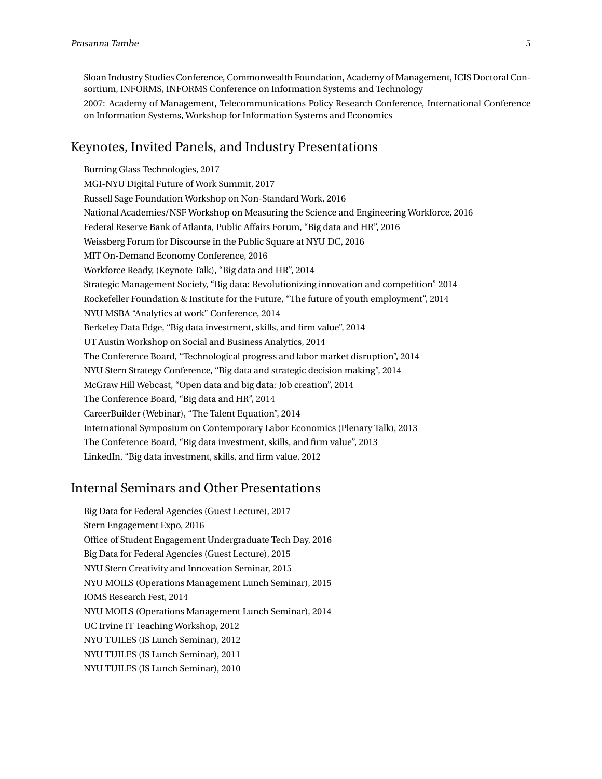Sloan Industry Studies Conference, Commonwealth Foundation, Academy of Management, ICIS Doctoral Consortium, INFORMS, INFORMS Conference on Information Systems and Technology

2007: Academy of Management, Telecommunications Policy Research Conference, International Conference on Information Systems, Workshop for Information Systems and Economics

#### Keynotes, Invited Panels, and Industry Presentations

Burning Glass Technologies, 2017 MGI-NYU Digital Future of Work Summit, 2017 Russell Sage Foundation Workshop on Non-Standard Work, 2016 National Academies/NSF Workshop on Measuring the Science and Engineering Workforce, 2016 Federal Reserve Bank of Atlanta, Public Affairs Forum, "Big data and HR", 2016 Weissberg Forum for Discourse in the Public Square at NYU DC, 2016 MIT On-Demand Economy Conference, 2016 Workforce Ready, (Keynote Talk), "Big data and HR", 2014 Strategic Management Society, "Big data: Revolutionizing innovation and competition" 2014 Rockefeller Foundation & Institute for the Future, "The future of youth employment", 2014 NYU MSBA "Analytics at work" Conference, 2014 Berkeley Data Edge, "Big data investment, skills, and firm value", 2014 UT Austin Workshop on Social and Business Analytics, 2014 The Conference Board, "Technological progress and labor market disruption", 2014 NYU Stern Strategy Conference, "Big data and strategic decision making", 2014 McGraw Hill Webcast, "Open data and big data: Job creation", 2014 The Conference Board, "Big data and HR", 2014 CareerBuilder (Webinar), "The Talent Equation", 2014 International Symposium on Contemporary Labor Economics (Plenary Talk), 2013 The Conference Board, "Big data investment, skills, and firm value", 2013 LinkedIn, "Big data investment, skills, and firm value, 2012

## Internal Seminars and Other Presentations

Big Data for Federal Agencies (Guest Lecture), 2017 Stern Engagement Expo, 2016 Office of Student Engagement Undergraduate Tech Day, 2016 Big Data for Federal Agencies (Guest Lecture), 2015 NYU Stern Creativity and Innovation Seminar, 2015 NYU MOILS (Operations Management Lunch Seminar), 2015 IOMS Research Fest, 2014 NYU MOILS (Operations Management Lunch Seminar), 2014 UC Irvine IT Teaching Workshop, 2012 NYU TUILES (IS Lunch Seminar), 2012 NYU TUILES (IS Lunch Seminar), 2011 NYU TUILES (IS Lunch Seminar), 2010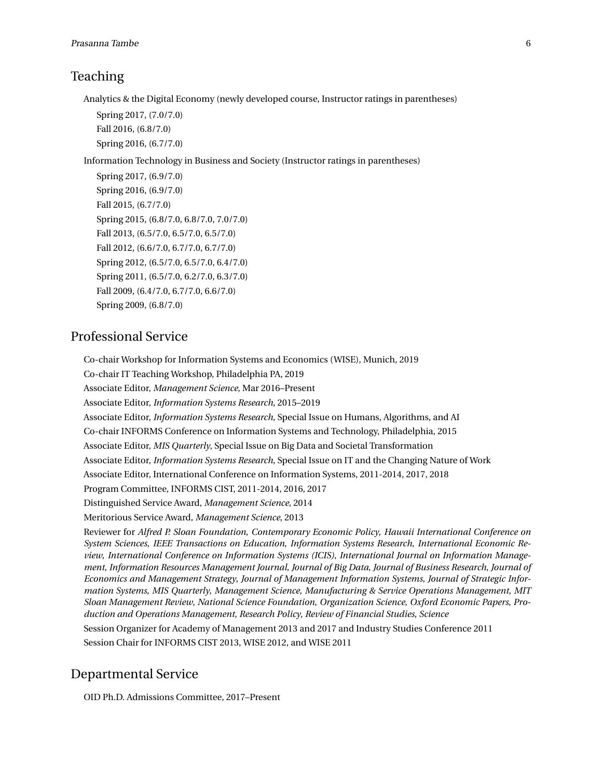#### Teaching

Analytics & the Digital Economy (newly developed course, Instructor ratings in parentheses)

Spring 2017, (7.0/7.0) Fall 2016, (6.8/7.0) Spring 2016, (6.7/7.0)

Information Technology in Business and Society (Instructor ratings in parentheses)

Spring 2017, (6.9/7.0) Spring 2016, (6.9/7.0) Fall 2015, (6.7/7.0) Spring 2015, (6.8/7.0, 6.8/7.0, 7.0/7.0) Fall 2013, (6.5/7.0, 6.5/7.0, 6.5/7.0) Fall 2012, (6.6/7.0, 6.7/7.0, 6.7/7.0) Spring 2012, (6.5/7.0, 6.5/7.0, 6.4/7.0) Spring 2011, (6.5/7.0, 6.2/7.0, 6.3/7.0) Fall 2009, (6.4/7.0, 6.7/7.0, 6.6/7.0) Spring 2009, (6.8/7.0)

#### Professional Service

Co-chair Workshop for Information Systems and Economics (WISE), Munich, 2019 Co-chair IT Teaching Workshop, Philadelphia PA, 2019 Associate Editor, *Management Science*, Mar 2016–Present Associate Editor, *Information Systems Research*, 2015–2019 Associate Editor, *Information Systems Research*, Special Issue on Humans, Algorithms, and AI Co-chair INFORMS Conference on Information Systems and Technology, Philadelphia, 2015 Associate Editor, *MIS Quarterly*, Special Issue on Big Data and Societal Transformation Associate Editor, *Information Systems Research*, Special Issue on IT and the Changing Nature of Work Associate Editor, International Conference on Information Systems, 2011-2014, 2017, 2018 Program Committee, INFORMS CIST, 2011-2014, 2016, 2017 Distinguished Service Award, *Management Science*, 2014 Meritorious Service Award, *Management Science*, 2013 Reviewer for *Alfred P. Sloan Foundation*, *Contemporary Economic Policy*, *Hawaii International Conference on System Sciences*, *IEEE Transactions on Education*, *Information Systems Research*, *International Economic Review*, *International Conference on Information Systems (ICIS)*, *International Journal on Information Management*, *Information Resources Management Journal*, *Journal of Big Data*, *Journal of Business Research*, *Journal of Economics and Management Strategy*, *Journal of Management Information Systems*, *Journal of Strategic Information Systems*, *MIS Quarterly*, *Management Science*, *Manufacturing & Service Operations Management*, *MIT Sloan Management Review*, *National Science Foundation*, *Organization Science*, *Oxford Economic Papers*, *Production and Operations Management*, *Research Policy*, *Review of Financial Studies*, *Science* Session Organizer for Academy of Management 2013 and 2017 and Industry Studies Conference 2011 Session Chair for INFORMS CIST 2013, WISE 2012, and WISE 2011

#### Departmental Service

OID Ph.D. Admissions Committee, 2017–Present